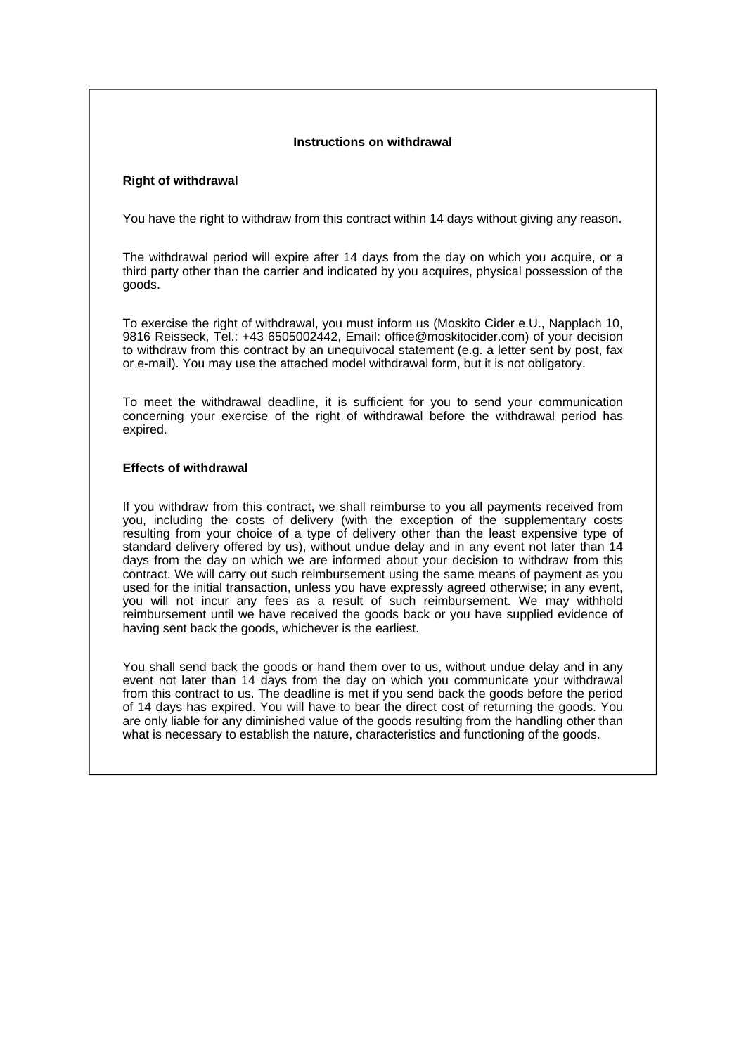## **Instructions on withdrawal**

## **Right of withdrawal**

You have the right to withdraw from this contract within 14 days without giving any reason.

The withdrawal period will expire after 14 days from the day on which you acquire, or a third party other than the carrier and indicated by you acquires, physical possession of the goods.

To exercise the right of withdrawal, you must inform us (Moskito Cider e.U., Napplach 10, 9816 Reisseck, Tel.: +43 6505002442, Email: office@moskitocider.com) of your decision to withdraw from this contract by an unequivocal statement (e.g. a letter sent by post, fax or e-mail). You may use the attached model withdrawal form, but it is not obligatory.

To meet the withdrawal deadline, it is sufficient for you to send your communication concerning your exercise of the right of withdrawal before the withdrawal period has expired.

## **Effects of withdrawal**

If you withdraw from this contract, we shall reimburse to you all payments received from you, including the costs of delivery (with the exception of the supplementary costs resulting from your choice of a type of delivery other than the least expensive type of standard delivery offered by us), without undue delay and in any event not later than 14 days from the day on which we are informed about your decision to withdraw from this contract. We will carry out such reimbursement using the same means of payment as you used for the initial transaction, unless you have expressly agreed otherwise; in any event, you will not incur any fees as a result of such reimbursement. We may withhold reimbursement until we have received the goods back or you have supplied evidence of having sent back the goods, whichever is the earliest.

You shall send back the goods or hand them over to us, without undue delay and in any event not later than 14 days from the day on which you communicate your withdrawal from this contract to us. The deadline is met if you send back the goods before the period of 14 days has expired. You will have to bear the direct cost of returning the goods. You are only liable for any diminished value of the goods resulting from the handling other than what is necessary to establish the nature, characteristics and functioning of the goods.